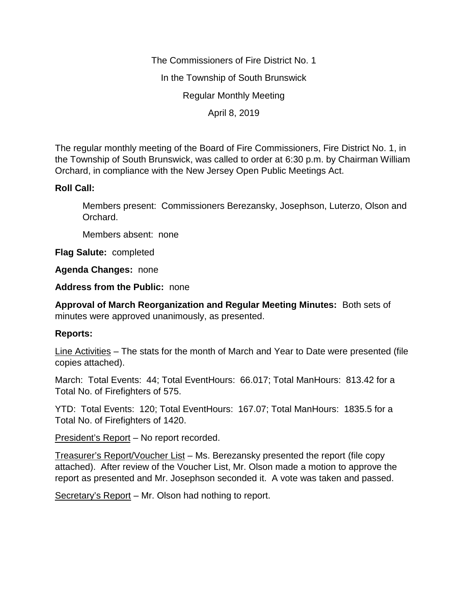The Commissioners of Fire District No. 1 In the Township of South Brunswick Regular Monthly Meeting April 8, 2019

The regular monthly meeting of the Board of Fire Commissioners, Fire District No. 1, in the Township of South Brunswick, was called to order at 6:30 p.m. by Chairman William Orchard, in compliance with the New Jersey Open Public Meetings Act.

# **Roll Call:**

Members present: Commissioners Berezansky, Josephson, Luterzo, Olson and Orchard.

Members absent: none

**Flag Salute:** completed

**Agenda Changes:** none

**Address from the Public:** none

**Approval of March Reorganization and Regular Meeting Minutes:** Both sets of minutes were approved unanimously, as presented.

## **Reports:**

Line Activities – The stats for the month of March and Year to Date were presented (file copies attached).

March: Total Events: 44; Total EventHours: 66.017; Total ManHours: 813.42 for a Total No. of Firefighters of 575.

YTD: Total Events: 120; Total EventHours: 167.07; Total ManHours: 1835.5 for a Total No. of Firefighters of 1420.

President's Report – No report recorded.

Treasurer's Report/Voucher List – Ms. Berezansky presented the report (file copy attached). After review of the Voucher List, Mr. Olson made a motion to approve the report as presented and Mr. Josephson seconded it. A vote was taken and passed.

Secretary's Report – Mr. Olson had nothing to report.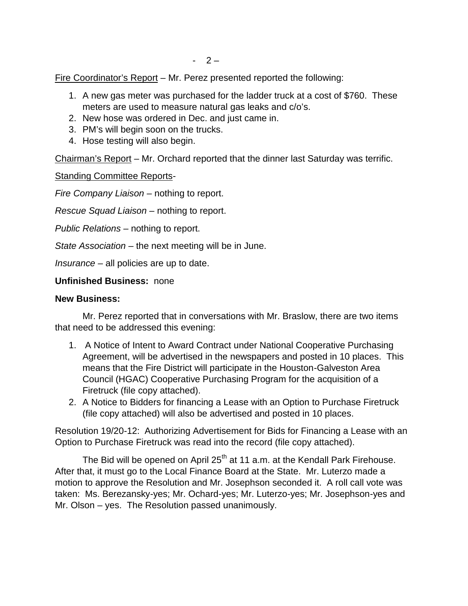Fire Coordinator's Report – Mr. Perez presented reported the following:

- 1. A new gas meter was purchased for the ladder truck at a cost of \$760. These meters are used to measure natural gas leaks and c/o's.
- 2. New hose was ordered in Dec. and just came in.
- 3. PM's will begin soon on the trucks.
- 4. Hose testing will also begin.

Chairman's Report – Mr. Orchard reported that the dinner last Saturday was terrific.

Standing Committee Reports-

*Fire Company Liaison –* nothing to report.

*Rescue Squad Liaison –* nothing to report.

*Public Relations –* nothing to report.

*State Association –* the next meeting will be in June.

*Insurance –* all policies are up to date.

#### **Unfinished Business:** none

### **New Business:**

Mr. Perez reported that in conversations with Mr. Braslow, there are two items that need to be addressed this evening:

- 1. A Notice of Intent to Award Contract under National Cooperative Purchasing Agreement, will be advertised in the newspapers and posted in 10 places. This means that the Fire District will participate in the Houston-Galveston Area Council (HGAC) Cooperative Purchasing Program for the acquisition of a Firetruck (file copy attached).
- 2. A Notice to Bidders for financing a Lease with an Option to Purchase Firetruck (file copy attached) will also be advertised and posted in 10 places.

Resolution 19/20-12: Authorizing Advertisement for Bids for Financing a Lease with an Option to Purchase Firetruck was read into the record (file copy attached).

The Bid will be opened on April  $25<sup>th</sup>$  at 11 a.m. at the Kendall Park Firehouse. After that, it must go to the Local Finance Board at the State. Mr. Luterzo made a motion to approve the Resolution and Mr. Josephson seconded it. A roll call vote was taken: Ms. Berezansky-yes; Mr. Ochard-yes; Mr. Luterzo-yes; Mr. Josephson-yes and Mr. Olson – yes. The Resolution passed unanimously.